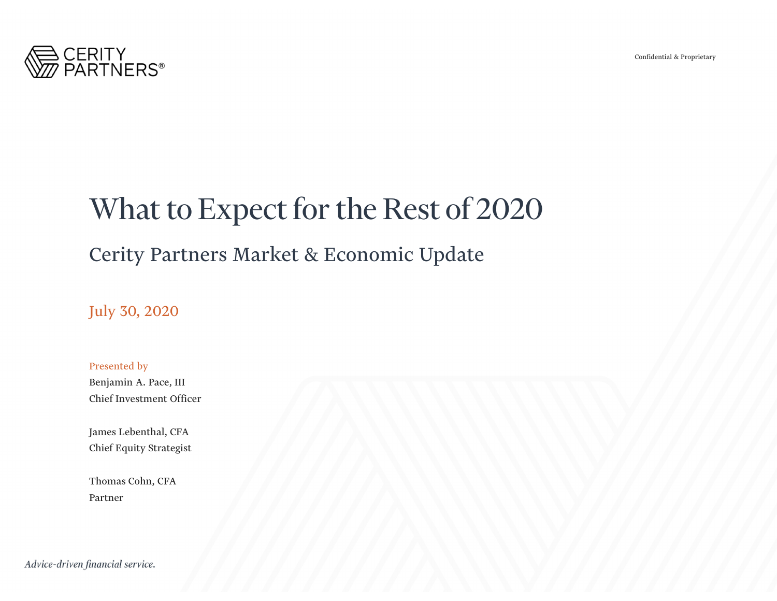

# What to Expect for the Rest of 2020

### Cerity Partners Market & Economic Update

July 30, 2020

Presented by Benjamin A. Pace, III Chief Investment Officer

James Lebenthal, CFA Chief Equity Strategist

Thomas Cohn, CFA Partner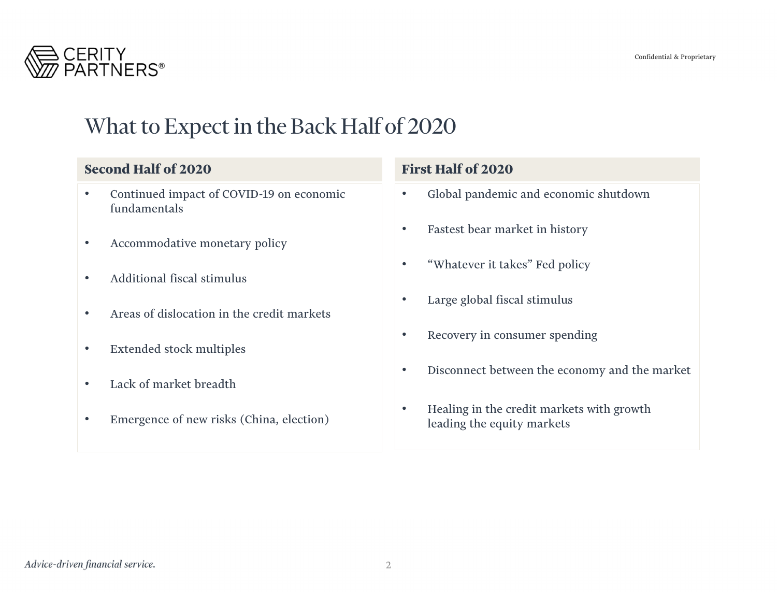

## What to Expect in the Back Half of 2020

#### **Second Half of 2020**

- • Continued impact of COVID-19 on economic fundamentals
- •Accommodative monetary policy
- •Additional fiscal stimulus
- $\bullet$ Areas of dislocation in the credit markets
- $\bullet$ Extended stock multiples
- $\bullet$ Lack of market breadth
- •Emergence of new risks (China, election)

#### **First Half of 2020**

- $\bullet$ Global pandemic and economic shutdown
- $\bullet$ Fastest bear market in history
- $\bullet$ "Whatever it takes" Fed policy
- •Large global fiscal stimulus
- •Recovery in consumer spending
- •Disconnect between the economy and the market
- • Healing in the credit markets with growth leading the equity markets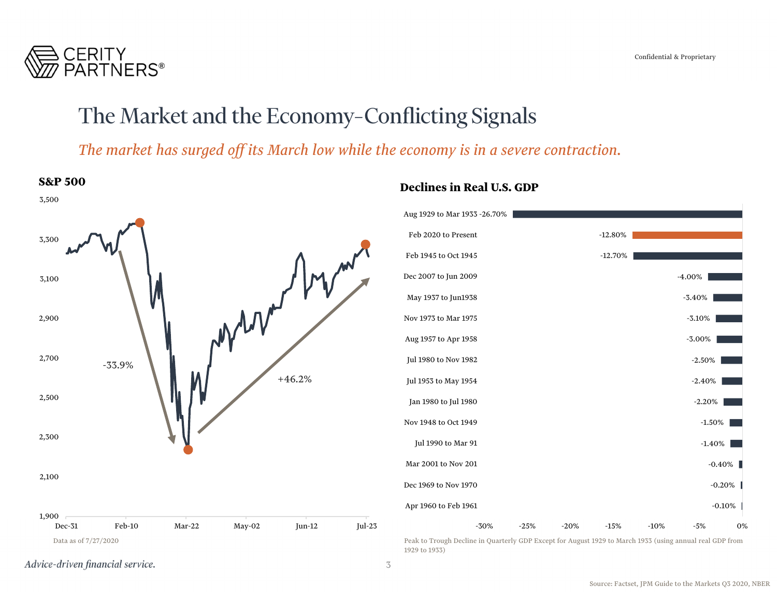

## The Market and the Economy–Conflicting Signals

*The market has surged off its March low while the economy is in a severe contraction.*



Advice-driven financial service.

1929 to 1933)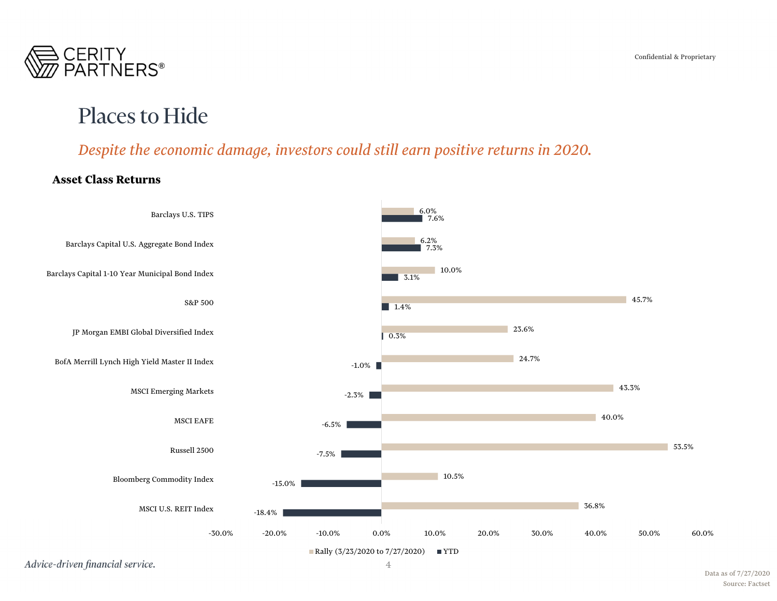

### Places to Hide

### *Despite the economic damage, investors could still earn positive returns in 2020.*

#### **Asset Class Returns**

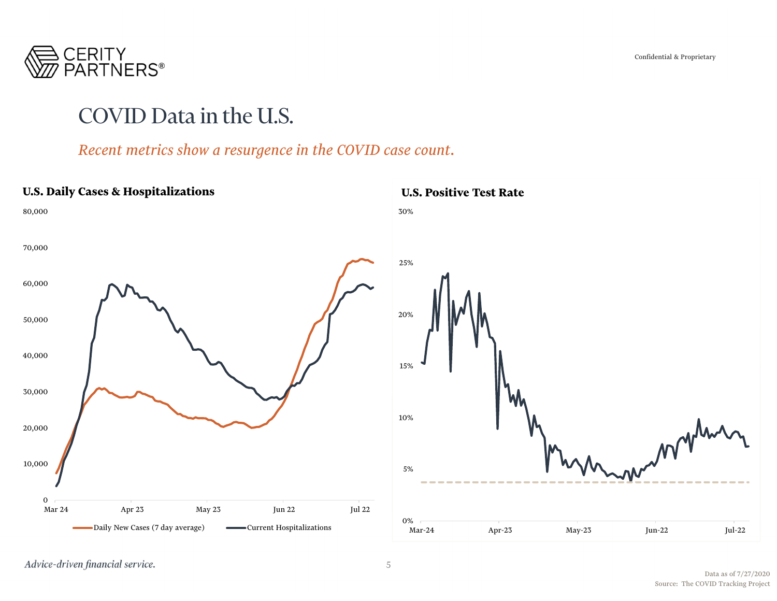

## COVID Data in the U.S.

#### *Recent metrics show a resurgence in the COVID case count.*

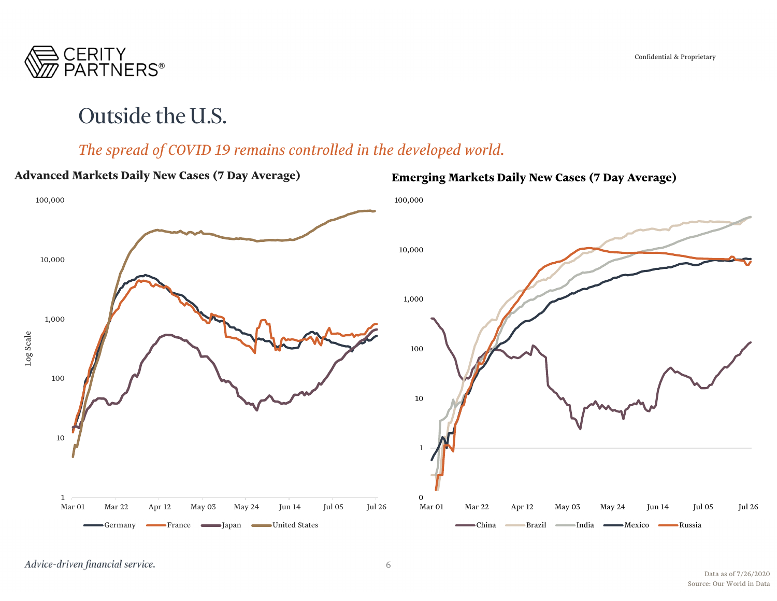

## Outside the U.S.

### *The spread of COVID 19 remains controlled in the developed world.*

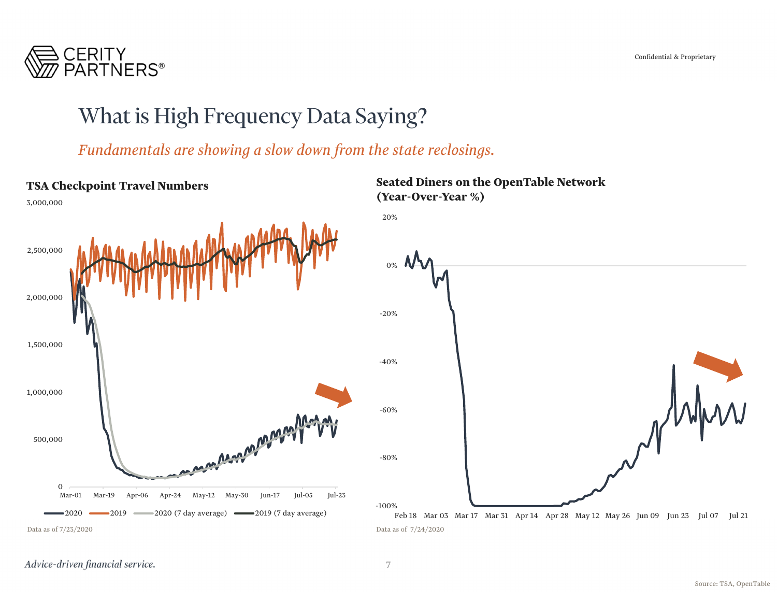

### What is High Frequency Data Saying?

*Fundamentals are showing a slow down from the state reclosings.*

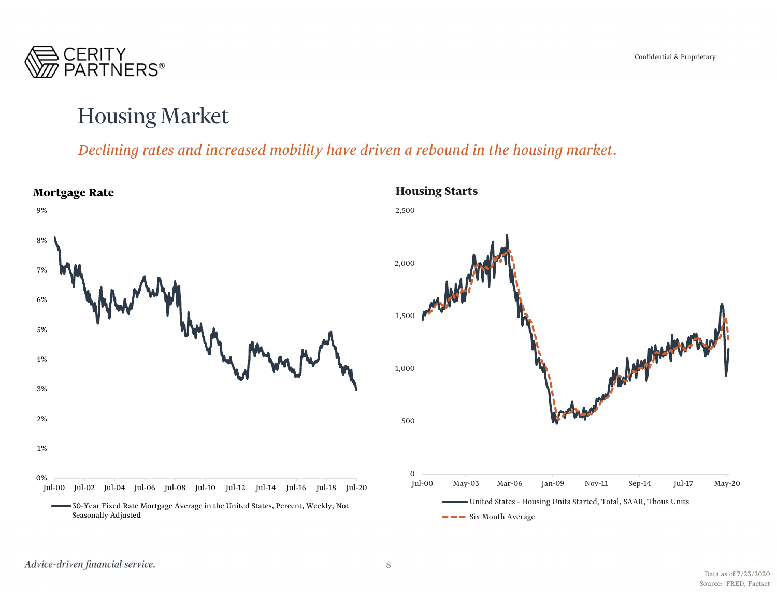

### Housing Market

### *Declining rates and increased mobility have driven a rebound in the housing market.*

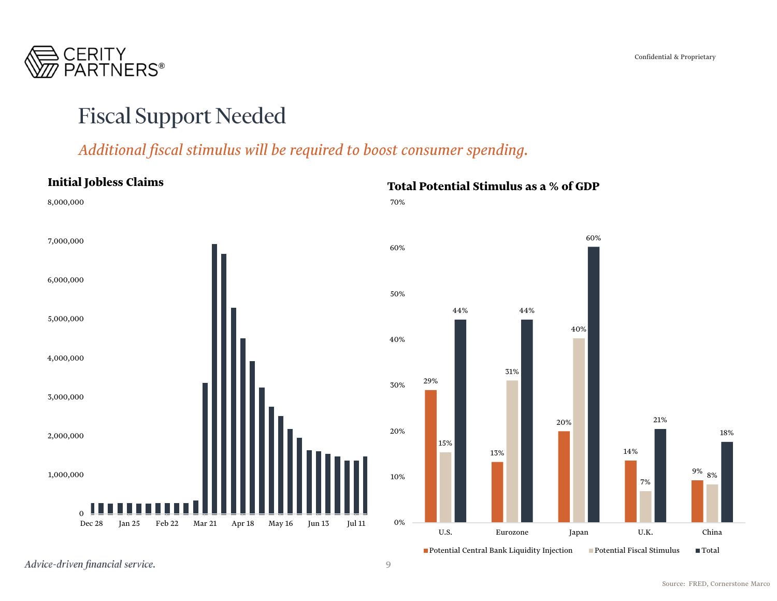

### Fiscal Support Needed

#### *Additional fiscal stimulus will be required to boost consumer spending.*

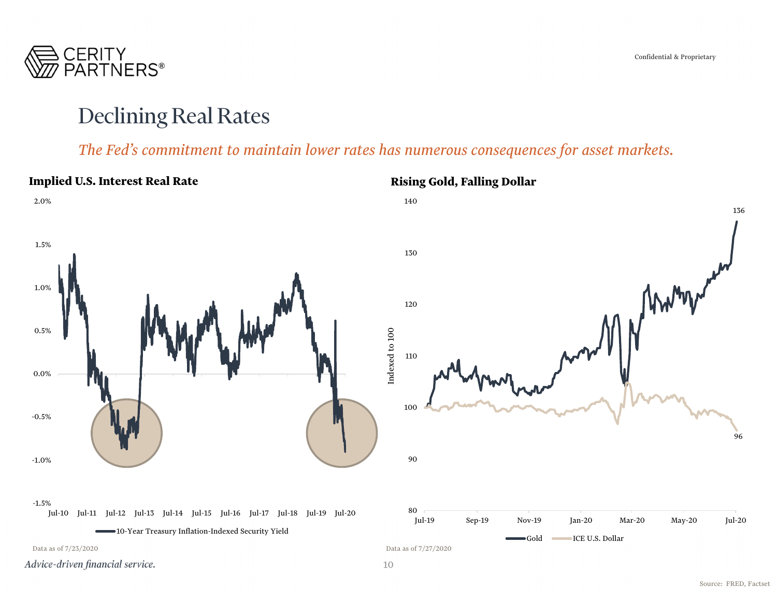

### Declining Real Rates

#### *The Fed's commitment to maintain lower rates has numerous consequences for asset markets.*

#### **Implied U.S. Interest Real Rate Rising Gold, Falling Dollar** 2.0%140136 1.5% 130MANARY 1.0%1200.5%Indexed to 100 Indexed to 100 1100.0% 100-0.5%9690-1.0%-1.5%80Jul-10 Jul-11 Jul-12 Jul-13 Jul-14 Jul-15 Jul-16 Jul-17 Jul-18 Jul-19 Jul-20 Jul-19 Sep-19 Nov-19 Jan-20 Mar-20 May-20 Jul-20 10-Year Treasury Inflation-Indexed Security Yield Gold ICE U.S. Dollar Data as of 7/23/2020 Data as of 7/27/2020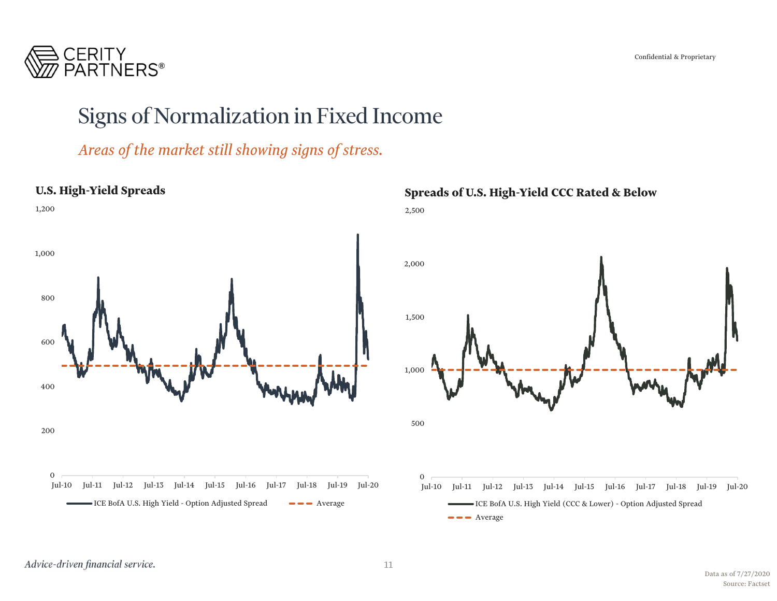CERITY<br>PARTNERS<sup>®</sup>

### Signs of Normalization in Fixed Income

*Areas of the market still showing signs of stress.*



#### **Spreads of U.S. High-Yield CCC Rated & Below**



 $\bullet \bullet \bullet$  Average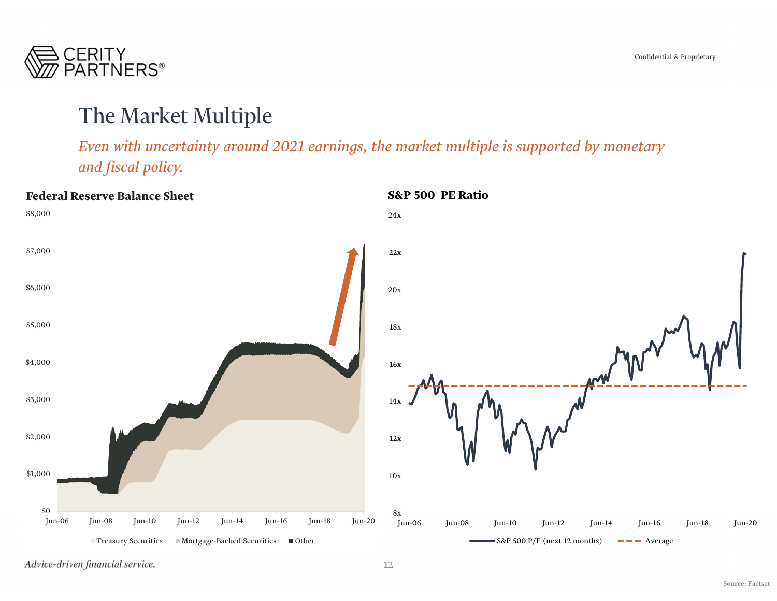

### The Market Multiple

*Even with uncertainty around 2021 earnings, the market multiple is supported by monetary and fiscal policy.*

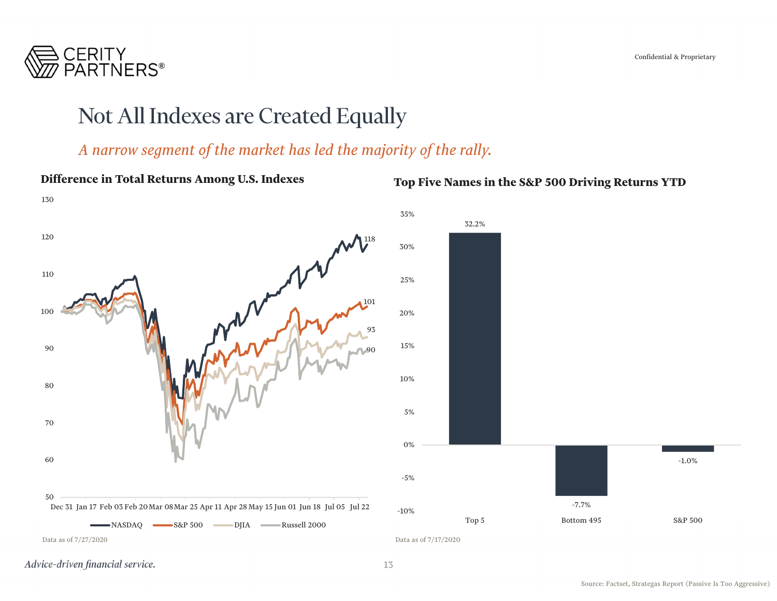

### Not All Indexes are Created Equally

### *A narrow segment of the market has led the majority of the rally.*

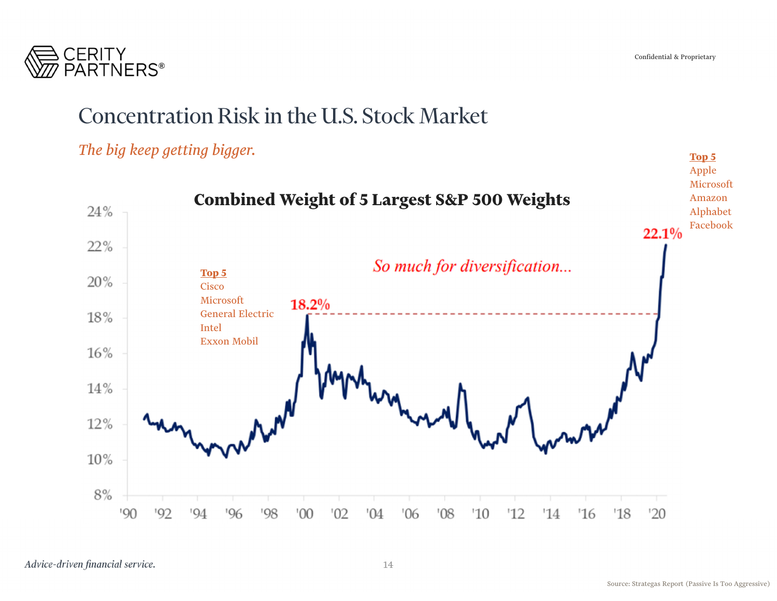

## Concentration Risk in the U.S. Stock Market

### *The big keep getting bigger.*

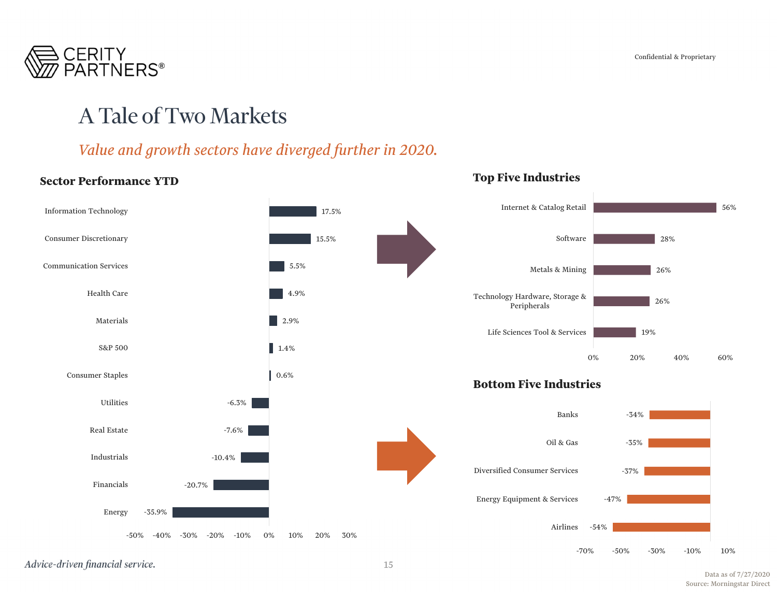

### A Tale of Two Markets

### *Value and growth sectors have diverged further in 2020.*

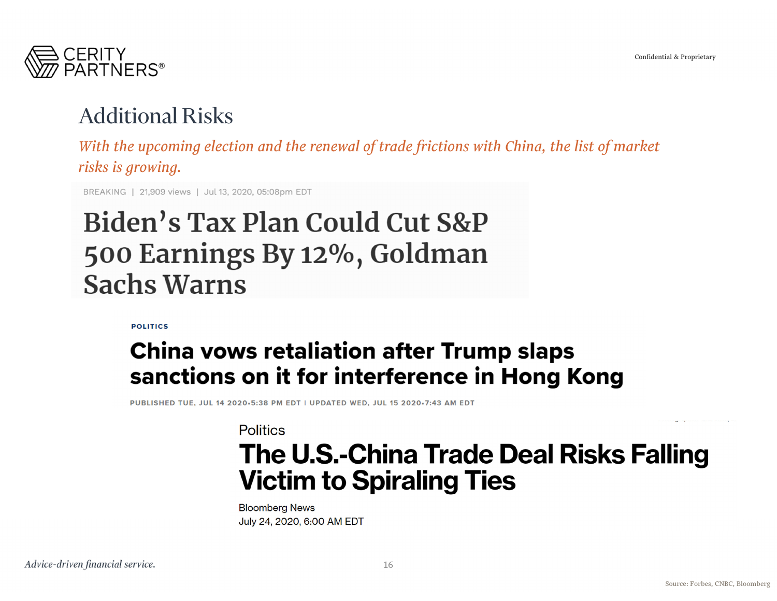

## Additional Risks

*With the upcoming election and the renewal of trade frictions with China, the list of market risks is growing.*

BREAKING | 21,909 views | Jul 13, 2020, 05:08pm EDT

# Biden's Tax Plan Could Cut S&P 500 Earnings By 12%, Goldman **Sachs Warns**

**POLITICS** 

## **China vows retaliation after Trump slaps** sanctions on it for interference in Hong Kong

PUBLISHED TUE, JUL 14 2020+5:38 PM EDT | UPDATED WED, JUL 15 2020+7:43 AM EDT

**Politics** 

# The U.S.-China Trade Deal Risks Falling **Victim to Spiraling Ties**

**Bloomberg News** July 24, 2020, 6:00 AM EDT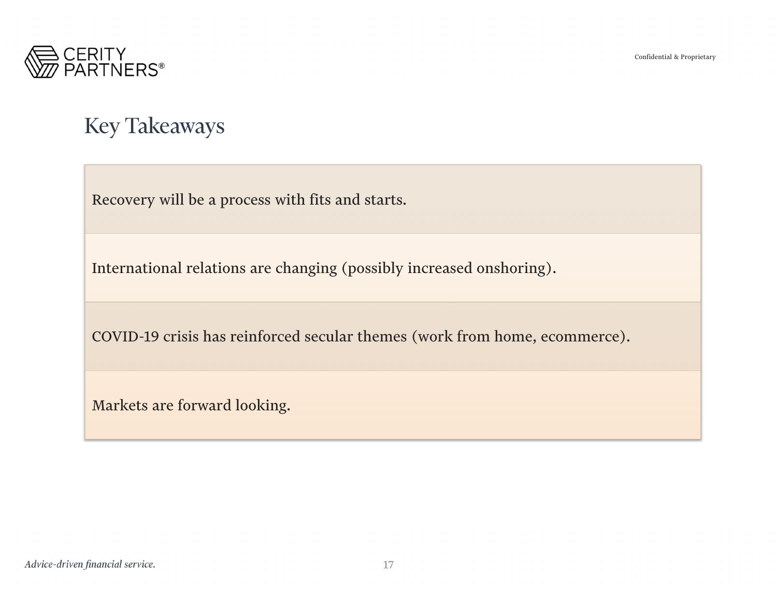

## Key Takeaways

Recovery will be a process with fits and starts.

International relations are changing (possibly increased onshoring).

COVID-19 crisis has reinforced secular themes (work from home, ecommerce).

Markets are forward looking.